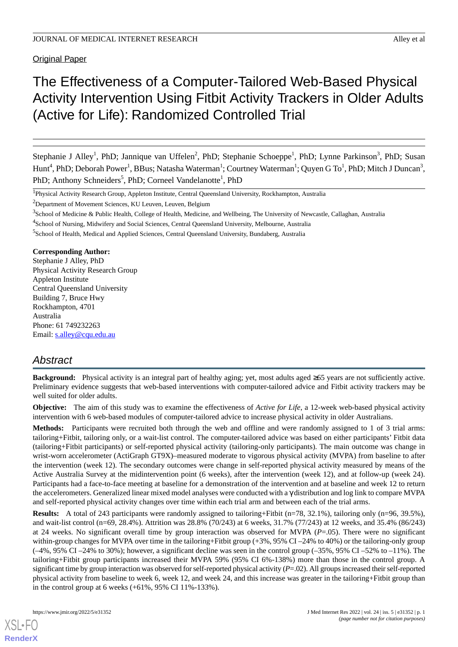Original Paper

# The Effectiveness of a Computer-Tailored Web-Based Physical Activity Intervention Using Fitbit Activity Trackers in Older Adults (Active for Life): Randomized Controlled Trial

Stephanie J Alley<sup>1</sup>, PhD; Jannique van Uffelen<sup>2</sup>, PhD; Stephanie Schoeppe<sup>1</sup>, PhD; Lynne Parkinson<sup>3</sup>, PhD; Susan Hunt $^4$ , PhD; Deborah Power $^1$ , BBus; Natasha Waterman $^1$ ; Courtney Waterman $^1$ ; Quyen G To $^1$ , PhD; Mitch J Duncan $^3$ , PhD; Anthony Schneiders<sup>5</sup>, PhD; Corneel Vandelanotte<sup>1</sup>, PhD

#### **Corresponding Author:**

Stephanie J Alley, PhD Physical Activity Research Group Appleton Institute Central Queensland University Building 7, Bruce Hwy Rockhampton, 4701 Australia Phone: 61 749232263 Email: [s.alley@cqu.edu.au](mailto:s.alley@cqu.edu.au)

# *Abstract*

**Background:** Physical activity is an integral part of healthy aging; yet, most adults aged ≥65 years are not sufficiently active. Preliminary evidence suggests that web-based interventions with computer-tailored advice and Fitbit activity trackers may be well suited for older adults.

**Objective:** The aim of this study was to examine the effectiveness of *Active for Life*, a 12-week web-based physical activity intervention with 6 web-based modules of computer-tailored advice to increase physical activity in older Australians.

**Methods:** Participants were recruited both through the web and offline and were randomly assigned to 1 of 3 trial arms: tailoring+Fitbit, tailoring only, or a wait-list control. The computer-tailored advice was based on either participants'Fitbit data (tailoring+Fitbit participants) or self-reported physical activity (tailoring-only participants). The main outcome was change in wrist-worn accelerometer (ActiGraph GT9X)–measured moderate to vigorous physical activity (MVPA) from baseline to after the intervention (week 12). The secondary outcomes were change in self-reported physical activity measured by means of the Active Australia Survey at the midintervention point (6 weeks), after the intervention (week 12), and at follow-up (week 24). Participants had a face-to-face meeting at baseline for a demonstration of the intervention and at baseline and week 12 to return the accelerometers. Generalized linear mixed model analyses were conducted with a γ distribution and log link to compare MVPA and self-reported physical activity changes over time within each trial arm and between each of the trial arms.

**Results:** A total of 243 participants were randomly assigned to tailoring+Fitbit (n=78, 32.1%), tailoring only (n=96, 39.5%), and wait-list control (n=69, 28.4%). Attrition was 28.8% (70/243) at 6 weeks, 31.7% (77/243) at 12 weeks, and 35.4% (86/243) at 24 weeks. No significant overall time by group interaction was observed for MVPA (*P*=.05). There were no significant within-group changes for MVPA over time in the tailoring+Fitbit group  $(+3\%, 95\%$  CI $-24\%$  to 40%) or the tailoring-only group  $(-4\%, 95\% \text{ CI} - 24\% \text{ to } 30\%)$ ; however, a significant decline was seen in the control group  $(-35\%, 95\% \text{ CI} - 52\% \text{ to } -11\%)$ . The tailoring+Fitbit group participants increased their MVPA 59% (95% CI 6%-138%) more than those in the control group. A significant time by group interaction was observed for self-reported physical activity (*P*=.02). All groups increased their self-reported physical activity from baseline to week 6, week 12, and week 24, and this increase was greater in the tailoring+Fitbit group than in the control group at 6 weeks (+61%, 95% CI 11%-133%).

<sup>&</sup>lt;sup>1</sup>Physical Activity Research Group, Appleton Institute, Central Queensland University, Rockhampton, Australia

<sup>&</sup>lt;sup>2</sup>Department of Movement Sciences, KU Leuven, Leuven, Belgium

<sup>&</sup>lt;sup>3</sup>School of Medicine & Public Health, College of Health, Medicine, and Wellbeing, The University of Newcastle, Callaghan, Australia

<sup>&</sup>lt;sup>4</sup>School of Nursing, Midwifery and Social Sciences, Central Queensland University, Melbourne, Australia

<sup>&</sup>lt;sup>5</sup>School of Health, Medical and Applied Sciences, Central Queensland University, Bundaberg, Australia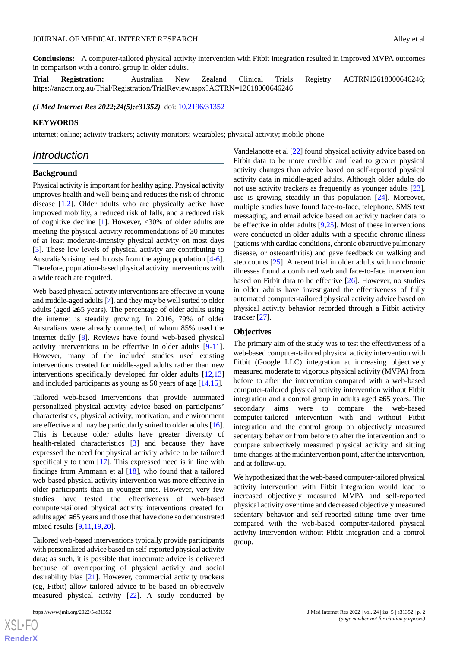**Conclusions:** A computer-tailored physical activity intervention with Fitbit integration resulted in improved MVPA outcomes in comparison with a control group in older adults.

**Trial Registration:** Australian New Zealand Clinical Trials Registry ACTRN12618000646246; https://anzctr.org.au/Trial/Registration/TrialReview.aspx?ACTRN=12618000646246

*(J Med Internet Res 2022;24(5):e31352)* doi: **[10.2196/31352](http://dx.doi.org/10.2196/31352)** 

#### **KEYWORDS**

internet; online; activity trackers; activity monitors; wearables; physical activity; mobile phone

### *Introduction*

#### **Background**

Physical activity is important for healthy aging. Physical activity improves health and well-being and reduces the risk of chronic disease [[1,](#page-14-0)[2](#page-14-1)]. Older adults who are physically active have improved mobility, a reduced risk of falls, and a reduced risk of cognitive decline [\[1](#page-14-0)]. However, <30% of older adults are meeting the physical activity recommendations of 30 minutes of at least moderate-intensity physical activity on most days [[3\]](#page-14-2). These low levels of physical activity are contributing to Australia's rising health costs from the aging population [\[4-](#page-14-3)[6\]](#page-14-4). Therefore, population-based physical activity interventions with a wide reach are required.

Web-based physical activity interventions are effective in young and middle-aged adults [\[7\]](#page-14-5), and they may be well suited to older adults (aged ≥65 years). The percentage of older adults using the internet is steadily growing. In 2016, 79% of older Australians were already connected, of whom 85% used the internet daily [[8\]](#page-14-6). Reviews have found web-based physical activity interventions to be effective in older adults [[9](#page-14-7)-[11\]](#page-14-8). However, many of the included studies used existing interventions created for middle-aged adults rather than new interventions specifically developed for older adults [[12](#page-14-9)[,13](#page-14-10)] and included participants as young as 50 years of age [\[14](#page-14-11),[15\]](#page-14-12).

Tailored web-based interventions that provide automated personalized physical activity advice based on participants' characteristics, physical activity, motivation, and environment are effective and may be particularly suited to older adults [[16\]](#page-14-13). This is because older adults have greater diversity of health-related characteristics [[3\]](#page-14-2) and because they have expressed the need for physical activity advice to be tailored specifically to them [[17\]](#page-14-14). This expressed need is in line with findings from Ammann et al [\[18](#page-14-15)], who found that a tailored web-based physical activity intervention was more effective in older participants than in younger ones. However, very few studies have tested the effectiveness of web-based computer-tailored physical activity interventions created for adults aged ≥65 years and those that have done so demonstrated mixed results [[9](#page-14-7)[,11](#page-14-8),[19](#page-14-16)[,20](#page-14-17)].

Tailored web-based interventions typically provide participants with personalized advice based on self-reported physical activity data; as such, it is possible that inaccurate advice is delivered because of overreporting of physical activity and social desirability bias [\[21](#page-14-18)]. However, commercial activity trackers (eg, Fitbit) allow tailored advice to be based on objectively measured physical activity [\[22](#page-15-0)]. A study conducted by

 $X$ SL•F **[RenderX](http://www.renderx.com/)**

Vandelanotte et al [\[22](#page-15-0)] found physical activity advice based on Fitbit data to be more credible and lead to greater physical activity changes than advice based on self-reported physical activity data in middle-aged adults. Although older adults do not use activity trackers as frequently as younger adults [[23\]](#page-15-1), use is growing steadily in this population [[24\]](#page-15-2). Moreover, multiple studies have found face-to-face, telephone, SMS text messaging, and email advice based on activity tracker data to be effective in older adults [[9](#page-14-7)[,25](#page-15-3)]. Most of these interventions were conducted in older adults with a specific chronic illness (patients with cardiac conditions, chronic obstructive pulmonary disease, or osteoarthritis) and gave feedback on walking and step counts [[25\]](#page-15-3). A recent trial in older adults with no chronic illnesses found a combined web and face-to-face intervention based on Fitbit data to be effective [[26\]](#page-15-4). However, no studies in older adults have investigated the effectiveness of fully automated computer-tailored physical activity advice based on physical activity behavior recorded through a Fitbit activity tracker [\[27](#page-15-5)].

#### **Objectives**

The primary aim of the study was to test the effectiveness of a web-based computer-tailored physical activity intervention with Fitbit (Google LLC) integration at increasing objectively measured moderate to vigorous physical activity (MVPA) from before to after the intervention compared with a web-based computer-tailored physical activity intervention without Fitbit integration and a control group in adults aged ≥65 years. The secondary aims were to compare the web-based computer-tailored intervention with and without Fitbit integration and the control group on objectively measured sedentary behavior from before to after the intervention and to compare subjectively measured physical activity and sitting time changes at the midintervention point, after the intervention, and at follow-up.

We hypothesized that the web-based computer-tailored physical activity intervention with Fitbit integration would lead to increased objectively measured MVPA and self-reported physical activity over time and decreased objectively measured sedentary behavior and self-reported sitting time over time compared with the web-based computer-tailored physical activity intervention without Fitbit integration and a control group.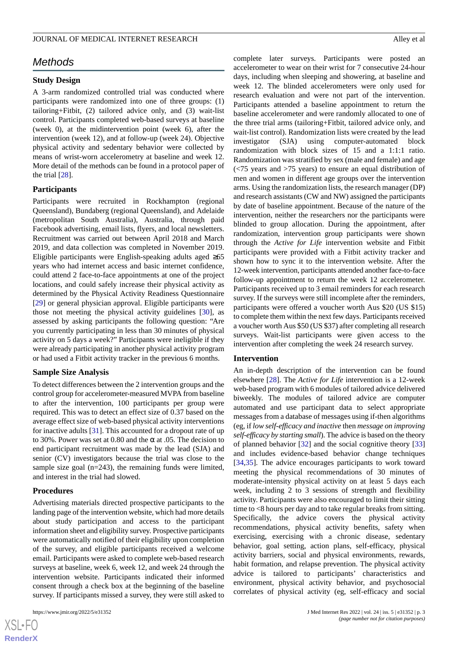# *Methods*

#### **Study Design**

A 3-arm randomized controlled trial was conducted where participants were randomized into one of three groups: (1) tailoring+Fitbit, (2) tailored advice only, and (3) wait-list control. Participants completed web-based surveys at baseline (week 0), at the midintervention point (week 6), after the intervention (week 12), and at follow-up (week 24). Objective physical activity and sedentary behavior were collected by means of wrist-worn accelerometry at baseline and week 12. More detail of the methods can be found in a protocol paper of the trial [\[28](#page-15-6)].

#### **Participants**

Participants were recruited in Rockhampton (regional Queensland), Bundaberg (regional Queensland), and Adelaide (metropolitan South Australia), Australia, through paid Facebook advertising, email lists, flyers, and local newsletters. Recruitment was carried out between April 2018 and March 2019, and data collection was completed in November 2019. Eligible participants were English-speaking adults aged ≥65 years who had internet access and basic internet confidence, could attend 2 face-to-face appointments at one of the project locations, and could safely increase their physical activity as determined by the Physical Activity Readiness Questionnaire [[29\]](#page-15-7) or general physician approval. Eligible participants were those not meeting the physical activity guidelines [[30\]](#page-15-8), as assessed by asking participants the following question: "Are you currently participating in less than 30 minutes of physical activity on 5 days a week?" Participants were ineligible if they were already participating in another physical activity program or had used a Fitbit activity tracker in the previous 6 months.

#### **Sample Size Analysis**

To detect differences between the 2 intervention groups and the control group for accelerometer-measured MVPA from baseline to after the intervention, 100 participants per group were required. This was to detect an effect size of 0.37 based on the average effect size of web-based physical activity interventions for inactive adults [\[31](#page-15-9)]. This accounted for a dropout rate of up to 30%. Power was set at 0.80 and the  $\alpha$  at .05. The decision to end participant recruitment was made by the lead (SJA) and senior (CV) investigators because the trial was close to the sample size goal  $(n=243)$ , the remaining funds were limited, and interest in the trial had slowed.

#### **Procedures**

Advertising materials directed prospective participants to the landing page of the intervention website, which had more details about study participation and access to the participant information sheet and eligibility survey. Prospective participants were automatically notified of their eligibility upon completion of the survey, and eligible participants received a welcome email. Participants were asked to complete web-based research surveys at baseline, week 6, week 12, and week 24 through the intervention website. Participants indicated their informed consent through a check box at the beginning of the baseline survey. If participants missed a survey, they were still asked to

complete later surveys. Participants were posted an accelerometer to wear on their wrist for 7 consecutive 24-hour days, including when sleeping and showering, at baseline and week 12. The blinded accelerometers were only used for research evaluation and were not part of the intervention. Participants attended a baseline appointment to return the baseline accelerometer and were randomly allocated to one of the three trial arms (tailoring+Fitbit, tailored advice only, and wait-list control). Randomization lists were created by the lead investigator (SJA) using computer-automated block randomization with block sizes of 15 and a 1:1:1 ratio. Randomization was stratified by sex (male and female) and age (<75 years and >75 years) to ensure an equal distribution of men and women in different age groups over the intervention arms. Using the randomization lists, the research manager (DP) and research assistants (CW and NW) assigned the participants by date of baseline appointment. Because of the nature of the intervention, neither the researchers nor the participants were blinded to group allocation. During the appointment, after randomization, intervention group participants were shown through the *Active for Life* intervention website and Fitbit participants were provided with a Fitbit activity tracker and shown how to sync it to the intervention website. After the 12-week intervention, participants attended another face-to-face follow-up appointment to return the week 12 accelerometer. Participants received up to 3 email reminders for each research survey. If the surveys were still incomplete after the reminders, participants were offered a voucher worth Aus \$20 (US \$15) to complete them within the next few days. Participants received a voucher worth Aus \$50 (US \$37) after completing all research surveys. Wait-list participants were given access to the intervention after completing the week 24 research survey.

# **Intervention**

An in-depth description of the intervention can be found elsewhere [[28\]](#page-15-6). The *Active for Life* intervention is a 12-week web-based program with 6 modules of tailored advice delivered biweekly. The modules of tailored advice are computer automated and use participant data to select appropriate messages from a database of messages using if-then algorithms (eg, if *low self-efficacy and inactive* then *message on improving self-efficacy by starting small*). The advice is based on the theory of planned behavior [\[32](#page-15-10)] and the social cognitive theory [\[33](#page-15-11)] and includes evidence-based behavior change techniques [[34,](#page-15-12)[35\]](#page-15-13). The advice encourages participants to work toward meeting the physical recommendations of 30 minutes of moderate-intensity physical activity on at least 5 days each week, including 2 to 3 sessions of strength and flexibility activity. Participants were also encouraged to limit their sitting time to <8 hours per day and to take regular breaks from sitting. Specifically, the advice covers the physical activity recommendations, physical activity benefits, safety when exercising, exercising with a chronic disease, sedentary behavior, goal setting, action plans, self-efficacy, physical activity barriers, social and physical environments, rewards, habit formation, and relapse prevention. The physical activity advice is tailored to participants' characteristics and environment, physical activity behavior, and psychosocial correlates of physical activity (eg, self-efficacy and social

```
XS • FC
RenderX
```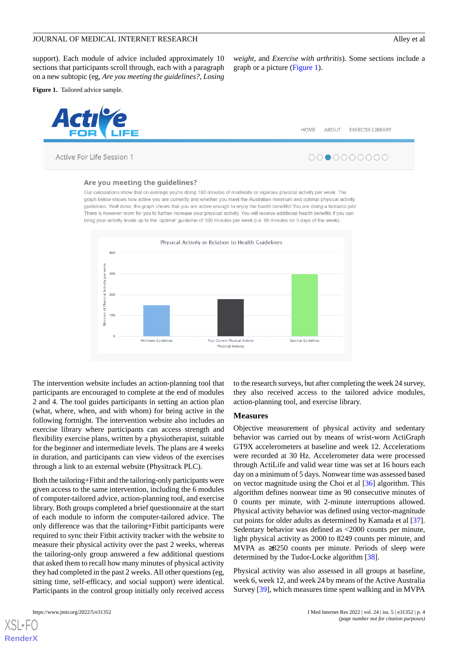support). Each module of advice included approximately 10 sections that participants scroll through, each with a paragraph on a new subtopic (eg, *Are you meeting the guidelines?*, *Losing*

<span id="page-3-0"></span>**Figure 1.** Tailored advice sample.



Active For Life Session 1

*weight*, and *Exercise with arthritis*). Some sections include a graph or a picture [\(Figure 1\)](#page-3-0).



#### Are you meeting the quidelines?

Our calculations show that on average you're doing 180 minutes of moderate or vigorous physical activity per week. The graph below shows how active you are currently and whether you meet the Australian minimum and optimal physical activity guidelines. Well done, the graph shows that you are active enough to enjoy the health benefits! You are doing a fantastic job! There is however room for you to further increase your physical activity. You will receive additional health benefits if you can bring your activity levels up to the 'optimal' guideline of 300 minutes per week (i.e. 60 minutes on 5 days of the week).



The intervention website includes an action-planning tool that participants are encouraged to complete at the end of modules 2 and 4. The tool guides participants in setting an action plan (what, where, when, and with whom) for being active in the following fortnight. The intervention website also includes an exercise library where participants can access strength and flexibility exercise plans, written by a physiotherapist, suitable for the beginner and intermediate levels. The plans are 4 weeks in duration, and participants can view videos of the exercises through a link to an external website (Physitrack PLC).

Both the tailoring+Fitbit and the tailoring-only participants were given access to the same intervention, including the 6 modules of computer-tailored advice, action-planning tool, and exercise library. Both groups completed a brief questionnaire at the start of each module to inform the computer-tailored advice. The only difference was that the tailoring+Fitbit participants were required to sync their Fitbit activity tracker with the website to measure their physical activity over the past 2 weeks, whereas the tailoring-only group answered a few additional questions that asked them to recall how many minutes of physical activity they had completed in the past 2 weeks. All other questions (eg, sitting time, self-efficacy, and social support) were identical. Participants in the control group initially only received access

[XSL](http://www.w3.org/Style/XSL)•FO **[RenderX](http://www.renderx.com/)**

to the research surveys, but after completing the week 24 survey, they also received access to the tailored advice modules, action-planning tool, and exercise library.

#### **Measures**

Objective measurement of physical activity and sedentary behavior was carried out by means of wrist-worn ActiGraph GT9X accelerometers at baseline and week 12. Accelerations were recorded at 30 Hz. Accelerometer data were processed through ActiLife and valid wear time was set at 16 hours each day on a minimum of 5 days. Nonwear time was assessed based on vector magnitude using the Choi et al [[36\]](#page-15-14) algorithm. This algorithm defines nonwear time as 90 consecutive minutes of 0 counts per minute, with 2-minute interruptions allowed. Physical activity behavior was defined using vector-magnitude cut points for older adults as determined by Kamada et al [[37\]](#page-15-15). Sedentary behavior was defined as <2000 counts per minute, light physical activity as 2000 to 8249 counts per minute, and MVPA as ≥8250 counts per minute. Periods of sleep were determined by the Tudor-Locke algorithm [[38\]](#page-15-16).

Physical activity was also assessed in all groups at baseline, week 6, week 12, and week 24 by means of the Active Australia Survey [\[39](#page-15-17)], which measures time spent walking and in MVPA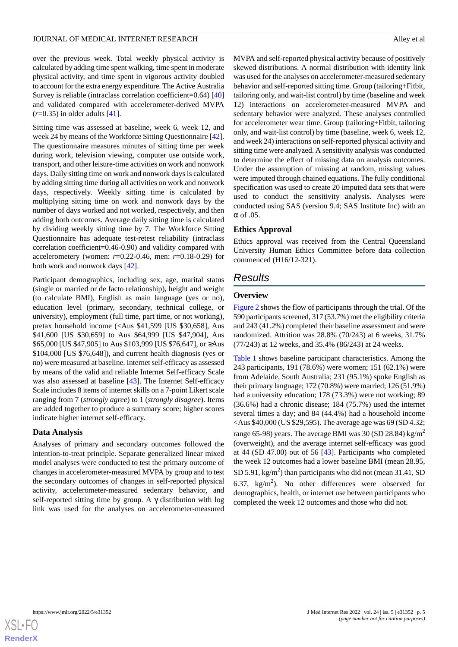over the previous week. Total weekly physical activity is calculated by adding time spent walking, time spent in moderate physical activity, and time spent in vigorous activity doubled to account for the extra energy expenditure. The Active Australia Survey is reliable (intraclass correlation coefficient=0.64) [\[40](#page-15-18)] and validated compared with accelerometer-derived MVPA (*r*=0.35) in older adults [[41\]](#page-15-19).

Sitting time was assessed at baseline, week 6, week 12, and week 24 by means of the Workforce Sitting Questionnaire [[42\]](#page-15-20). The questionnaire measures minutes of sitting time per week during work, television viewing, computer use outside work, transport, and other leisure-time activities on work and nonwork days. Daily sitting time on work and nonwork days is calculated by adding sitting time during all activities on work and nonwork days, respectively. Weekly sitting time is calculated by multiplying sitting time on work and nonwork days by the number of days worked and not worked, respectively, and then adding both outcomes. Average daily sitting time is calculated by dividing weekly sitting time by 7. The Workforce Sitting Questionnaire has adequate test-retest reliability (intraclass correlation coefficient=0.46-0.90) and validity compared with accelerometery (women: *r*=0.22-0.46, men: *r*=0.18-0.29) for both work and nonwork days [[42\]](#page-15-20).

Participant demographics, including sex, age, marital status (single or married or de facto relationship), height and weight (to calculate BMI), English as main language (yes or no), education level (primary, secondary, technical college, or university), employment (full time, part time, or not working), pretax household income (<Aus \$41,599 [US \$30,658], Aus \$41,600 [US \$30,659] to Aus \$64,999 [US \$47,904], Aus \$65,000 [US \$47,905] to Aus \$103,999 [US \$76,647], or ≥Aus \$104,000 [US \$76,648]), and current health diagnosis (yes or no) were measured at baseline. Internet self-efficacy as assessed by means of the valid and reliable Internet Self-efficacy Scale was also assessed at baseline [\[43](#page-15-21)]. The Internet Self-efficacy Scale includes 8 items of internet skills on a 7-point Likert scale ranging from 7 (*strongly agree*) to 1 (*strongly disagree*). Items are added together to produce a summary score; higher scores indicate higher internet self-efficacy.

#### **Data Analysis**

Analyses of primary and secondary outcomes followed the intention-to-treat principle. Separate generalized linear mixed model analyses were conducted to test the primary outcome of changes in accelerometer-measured MVPA by group and to test the secondary outcomes of changes in self-reported physical activity, accelerometer-measured sedentary behavior, and self-reported sitting time by group. A  $\gamma$  distribution with log link was used for the analyses on accelerometer-measured

MVPA and self-reported physical activity because of positively skewed distributions. A normal distribution with identity link was used for the analyses on accelerometer-measured sedentary behavior and self-reported sitting time. Group (tailoring+Fitbit, tailoring only, and wait-list control) by time (baseline and week 12) interactions on accelerometer-measured MVPA and sedentary behavior were analyzed. These analyses controlled for accelerometer wear time. Group (tailoring+Fitbit, tailoring only, and wait-list control) by time (baseline, week 6, week 12, and week 24) interactions on self-reported physical activity and sitting time were analyzed. A sensitivity analysis was conducted to determine the effect of missing data on analysis outcomes. Under the assumption of missing at random, missing values were imputed through chained equations. The fully conditional specification was used to create 20 imputed data sets that were used to conduct the sensitivity analysis. Analyses were conducted using SAS (version 9.4; SAS Institute Inc) with an α of .05.

# **Ethics Approval**

Ethics approval was received from the Central Queensland University Human Ethics Committee before data collection commenced (H16/12-321).

# *Results*

# **Overview**

[Figure 2](#page-5-0) shows the flow of participants through the trial. Of the 590 participants screened, 317 (53.7%) met the eligibility criteria and 243 (41.2%) completed their baseline assessment and were randomized. Attrition was 28.8% (70/243) at 6 weeks, 31.7% (77/243) at 12 weeks, and 35.4% (86/243) at 24 weeks.

[Table 1](#page-6-0) shows baseline participant characteristics. Among the 243 participants, 191 (78.6%) were women; 151 (62.1%) were from Adelaide, South Australia; 231 (95.1%) spoke English as their primary language; 172 (70.8%) were married; 126 (51.9%) had a university education; 178 (73.3%) were not working; 89 (36.6%) had a chronic disease; 184 (75.7%) used the internet several times a day; and 84 (44.4%) had a household income <Aus \$40,000 (US \$29,595). The average age was 69 (SD 4.32; range 65-98) years. The average BMI was 30 (SD 28.84) kg/m<sup>2</sup> (overweight), and the average internet self-efficacy was good at 44 (SD 47.00) out of 56 [[43\]](#page-15-21). Participants who completed the week 12 outcomes had a lower baseline BMI (mean 28.95, SD 5.91, kg/m<sup>2</sup>) than participants who did not (mean 31.41, SD 6.37,  $\text{kg/m}^2$ ). No other differences were observed for demographics, health, or internet use between participants who completed the week 12 outcomes and those who did not.

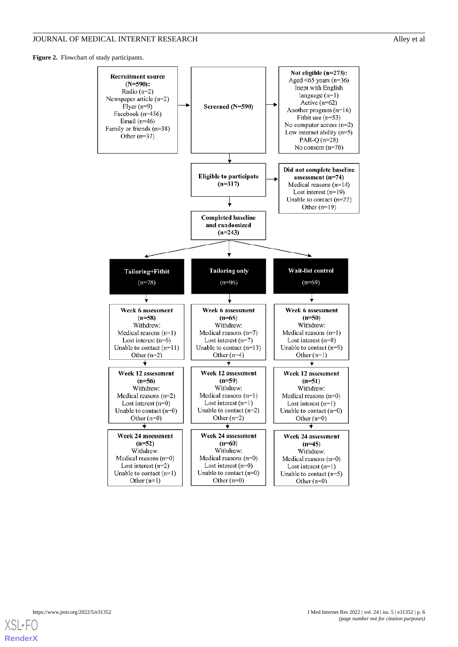<span id="page-5-0"></span>Figure 2. Flowchart of study participants.



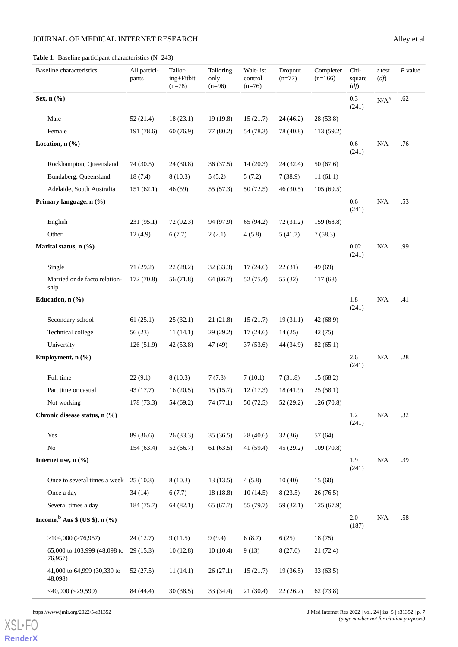<span id="page-6-0"></span>Table 1. Baseline participant characteristics (N=243).

|                                             | <b>Baseline</b> characteristics         | All partici-<br>pants | Tailor-<br>ing+Fitbit<br>$(n=78)$ | Tailoring<br>only<br>$(n=96)$ | Wait-list<br>control<br>$(n=76)$ | Dropout<br>$(n=77)$ | Completer<br>$(n=166)$ | Chi-<br>square<br>(df) | $t$ test<br>(df) | $P$ value |
|---------------------------------------------|-----------------------------------------|-----------------------|-----------------------------------|-------------------------------|----------------------------------|---------------------|------------------------|------------------------|------------------|-----------|
| Sex, n (%)                                  |                                         |                       |                                   |                               |                                  |                     |                        | 0.3<br>(241)           | $N/A^a$          | .62       |
|                                             | Male                                    | 52 (21.4)             | 18(23.1)                          | 19(19.8)                      | 15(21.7)                         | 24 (46.2)           | 28 (53.8)              |                        |                  |           |
|                                             | Female                                  | 191 (78.6)            | 60(76.9)                          | 77(80.2)                      | 54 (78.3)                        | 78 (40.8)           | 113 (59.2)             |                        |                  |           |
| Location, n (%)                             |                                         |                       |                                   |                               |                                  |                     |                        | 0.6<br>(241)           | N/A              | .76       |
|                                             | Rockhampton, Queensland                 | 74 (30.5)             | 24 (30.8)                         | 36(37.5)                      | 14(20.3)                         | 24 (32.4)           | 50(67.6)               |                        |                  |           |
|                                             | Bundaberg, Queensland                   | 18(7.4)               | 8(10.3)                           | 5(5.2)                        | 5(7.2)                           | 7(38.9)             | 11(61.1)               |                        |                  |           |
|                                             | Adelaide, South Australia               | 151(62.1)             | 46 (59)                           | 55 (57.3)                     | 50(72.5)                         | 46 (30.5)           | 105(69.5)              |                        |                  |           |
|                                             | Primary language, n (%)                 |                       |                                   |                               |                                  |                     |                        | 0.6<br>(241)           | N/A              | .53       |
|                                             | English                                 | 231 (95.1)            | 72 (92.3)                         | 94 (97.9)                     | 65 (94.2)                        | 72(31.2)            | 159 (68.8)             |                        |                  |           |
|                                             | Other                                   | 12(4.9)               | 6(7.7)                            | 2(2.1)                        | 4(5.8)                           | 5(41.7)             | 7(58.3)                |                        |                  |           |
|                                             | Marital status, n (%)                   |                       |                                   |                               |                                  |                     |                        | 0.02<br>(241)          | N/A              | .99       |
|                                             | Single                                  | 71 (29.2)             | 22(28.2)                          | 32(33.3)                      | 17(24.6)                         | 22(31)              | 49 (69)                |                        |                  |           |
|                                             | Married or de facto relation-<br>ship   | 172 (70.8)            | 56 (71.8)                         | 64 (66.7)                     | 52 (75.4)                        | 55 (32)             | 117(68)                |                        |                  |           |
|                                             | Education, n (%)                        |                       |                                   |                               |                                  |                     |                        | 1.8<br>(241)           | N/A              | .41       |
|                                             | Secondary school                        | 61(25.1)              | 25(32.1)                          | 21(21.8)                      | 15(21.7)                         | 19(31.1)            | 42 (68.9)              |                        |                  |           |
|                                             | Technical college                       | 56(23)                | 11(14.1)                          | 29(29.2)                      | 17(24.6)                         | 14(25)              | 42 (75)                |                        |                  |           |
|                                             | University                              | 126(51.9)             | 42 (53.8)                         | 47 (49)                       | 37(53.6)                         | 44 (34.9)           | 82(65.1)               |                        |                  |           |
|                                             | Employment, n (%)                       |                       |                                   |                               |                                  |                     |                        | 2.6<br>(241)           | N/A              | .28       |
|                                             | Full time                               | 22(9.1)               | 8(10.3)                           | 7(7.3)                        | 7(10.1)                          | 7(31.8)             | 15(68.2)               |                        |                  |           |
|                                             | Part time or casual                     | 43 (17.7)             | 16(20.5)                          | 15(15.7)                      | 12(17.3)                         | 18 (41.9)           | 25(58.1)               |                        |                  |           |
|                                             | Not working                             | 178 (73.3)            | 54 (69.2)                         | 74 (77.1)                     | 50(72.5)                         | 52 (29.2)           | 126 (70.8)             |                        |                  |           |
|                                             | Chronic disease status, n (%)           |                       |                                   |                               |                                  |                     |                        | $1.2\,$<br>(241)       | N/A              | .32       |
|                                             | Yes                                     | 89 (36.6)             | 26(33.3)                          | 35(36.5)                      | 28(40.6)                         | 32(36)              | 57 (64)                |                        |                  |           |
|                                             | $\rm No$                                | 154(63.4)             | 52(66.7)                          | 61(63.5)                      | 41 (59.4)                        | 45(29.2)            | 109(70.8)              |                        |                  |           |
|                                             | Internet use, n (%)                     |                       |                                   |                               |                                  |                     |                        | 1.9<br>(241)           | N/A              | .39       |
|                                             | Once to several times a week $25(10.3)$ |                       | 8(10.3)                           | 13(13.5)                      | 4(5.8)                           | 10(40)              | 15(60)                 |                        |                  |           |
|                                             | Once a day                              | 34(14)                | 6(7.7)                            | 18(18.8)                      | 10(14.5)                         | 8(23.5)             | 26(76.5)               |                        |                  |           |
|                                             | Several times a day                     | 184 (75.7)            | 64(82.1)                          | 65(67.7)                      | 55 (79.7)                        | 59(32.1)            | 125(67.9)              |                        |                  |           |
| Income, $\frac{b}{b}$ Aus \$ (US \$), n (%) |                                         |                       |                                   |                               |                                  |                     |                        | 2.0<br>(187)           | N/A              | .58       |
|                                             | $>104,000$ ( $>76,957$ )                | 24(12.7)              | 9(11.5)                           | 9(9.4)                        | 6(8.7)                           | 6(25)               | 18(75)                 |                        |                  |           |
|                                             | 65,000 to 103,999 (48,098 to<br>76,957) | 29(15.3)              | 10(12.8)                          | 10(10.4)                      | 9(13)                            | 8(27.6)             | 21(72.4)               |                        |                  |           |
|                                             | 41,000 to 64,999 (30,339 to<br>48,098)  | 52(27.5)              | 11(14.1)                          | 26(27.1)                      | 15(21.7)                         | 19(36.5)            | 33(63.5)               |                        |                  |           |
|                                             | $<$ 40,000 ( $<$ 29,599)                | 84 (44.4)             | 30(38.5)                          | 33 (34.4)                     | 21(30.4)                         | 22(26.2)            | 62 (73.8)              |                        |                  |           |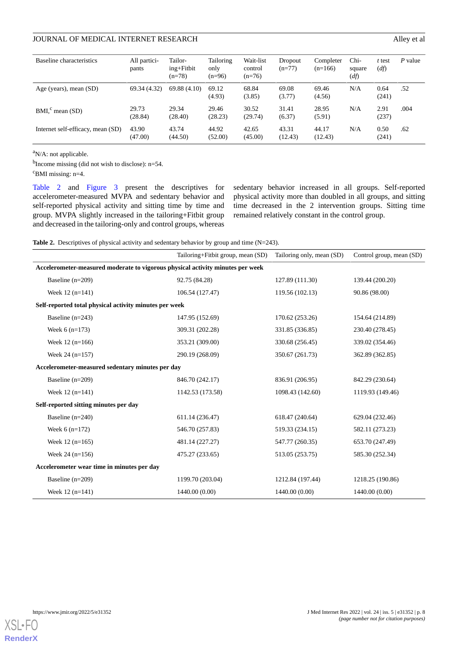| Baseline characteristics          | All partici-<br>pants | Tailor-<br>$ing + Fitbit$<br>$(n=78)$ | Tailoring<br>only<br>$(n=96)$ | Wait-list<br>control<br>$(n=76)$ | Dropout<br>$(n=77)$ | Completer<br>$(n=166)$ | Chi-<br>square<br>(df) | t test<br>(df) | P value |
|-----------------------------------|-----------------------|---------------------------------------|-------------------------------|----------------------------------|---------------------|------------------------|------------------------|----------------|---------|
| Age (years), mean (SD)            | 69.34 (4.32)          | 69.88(4.10)                           | 69.12<br>(4.93)               | 68.84<br>(3.85)                  | 69.08<br>(3.77)     | 69.46<br>(4.56)        | N/A                    | 0.64<br>(241)  | .52     |
| $BMIc$ mean (SD)                  | 29.73<br>(28.84)      | 29.34<br>(28.40)                      | 29.46<br>(28.23)              | 30.52<br>(29.74)                 | 31.41<br>(6.37)     | 28.95<br>(5.91)        | N/A                    | 2.91<br>(237)  | .004    |
| Internet self-efficacy, mean (SD) | 43.90<br>(47.00)      | 43.74<br>(44.50)                      | 44.92<br>(52.00)              | 42.65<br>(45.00)                 | 43.31<br>(12.43)    | 44.17<br>(12.43)       | N/A                    | 0.50<br>(241)  | .62     |

<sup>a</sup>N/A: not applicable.

 $<sup>b</sup>$  Income missing (did not wish to disclose): n=54.</sup>

 $\textdegree$ BMI missing: n=4.

[Table 2](#page-7-0) and [Figure 3](#page-8-0) present the descriptives for accelerometer-measured MVPA and sedentary behavior and self-reported physical activity and sitting time by time and group. MVPA slightly increased in the tailoring+Fitbit group and decreased in the tailoring-only and control groups, whereas sedentary behavior increased in all groups. Self-reported physical activity more than doubled in all groups, and sitting time decreased in the 2 intervention groups. Sitting time remained relatively constant in the control group.

<span id="page-7-0"></span>Table 2. Descriptives of physical activity and sedentary behavior by group and time (N=243).

|                                                                                | Tailoring+Fitbit group, mean (SD) | Tailoring only, mean (SD) | Control group, mean (SD) |  |  |  |  |  |  |
|--------------------------------------------------------------------------------|-----------------------------------|---------------------------|--------------------------|--|--|--|--|--|--|
| Accelerometer-measured moderate to vigorous physical activity minutes per week |                                   |                           |                          |  |  |  |  |  |  |
| Baseline $(n=209)$                                                             | 92.75 (84.28)                     | 127.89 (111.30)           | 139.44 (200.20)          |  |  |  |  |  |  |
| Week $12$ (n=141)                                                              | 106.54 (127.47)                   | 119.56 (102.13)           | 90.86 (98.00)            |  |  |  |  |  |  |
| Self-reported total physical activity minutes per week                         |                                   |                           |                          |  |  |  |  |  |  |
| Baseline $(n=243)$                                                             | 147.95 (152.69)                   | 170.62 (253.26)           | 154.64 (214.89)          |  |  |  |  |  |  |
| Week $6(n=173)$                                                                | 309.31 (202.28)                   | 331.85 (336.85)           | 230.40 (278.45)          |  |  |  |  |  |  |
| Week $12(n=166)$                                                               | 353.21 (309.00)                   | 330.68 (256.45)           | 339.02 (354.46)          |  |  |  |  |  |  |
| Week $24$ (n=157)                                                              | 290.19 (268.09)                   | 350.67 (261.73)           | 362.89 (362.85)          |  |  |  |  |  |  |
| Accelerometer-measured sedentary minutes per day                               |                                   |                           |                          |  |  |  |  |  |  |
| Baseline $(n=209)$                                                             | 846.70 (242.17)                   | 836.91 (206.95)           | 842.29 (230.64)          |  |  |  |  |  |  |
| Week $12(n=141)$                                                               | 1142.53 (173.58)                  | 1098.43 (142.60)          | 1119.93 (149.46)         |  |  |  |  |  |  |
| Self-reported sitting minutes per day                                          |                                   |                           |                          |  |  |  |  |  |  |
| Baseline $(n=240)$                                                             | 611.14 (236.47)                   | 618.47 (240.64)           | 629.04 (232.46)          |  |  |  |  |  |  |
| Week $6(n=172)$                                                                | 546.70 (257.83)                   | 519.33 (234.15)           | 582.11 (273.23)          |  |  |  |  |  |  |
| Week $12(n=165)$                                                               | 481.14 (227.27)                   | 547.77 (260.35)           | 653.70 (247.49)          |  |  |  |  |  |  |
| Week $24$ (n=156)                                                              | 475.27 (233.65)                   | 513.05 (253.75)           | 585.30 (252.34)          |  |  |  |  |  |  |
| Accelerometer wear time in minutes per day                                     |                                   |                           |                          |  |  |  |  |  |  |
| Baseline $(n=209)$                                                             | 1199.70 (203.04)                  | 1212.84 (197.44)          | 1218.25 (190.86)         |  |  |  |  |  |  |
| Week $12(n=141)$                                                               | 1440.00 (0.00)                    | 1440.00 (0.00)            | 1440.00 (0.00)           |  |  |  |  |  |  |

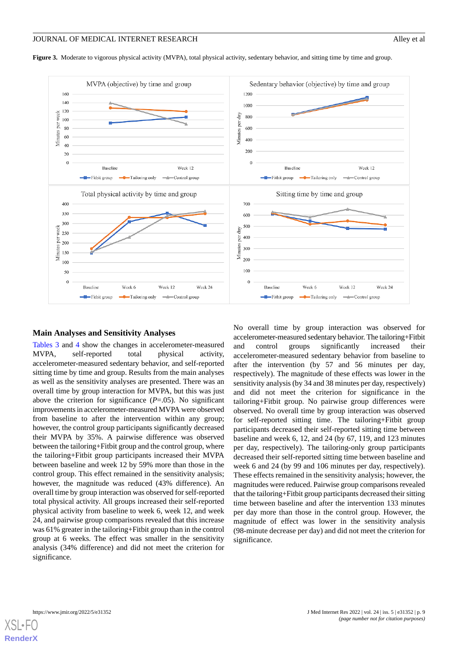<span id="page-8-0"></span>Figure 3. Moderate to vigorous physical activity (MVPA), total physical activity, sedentary behavior, and sitting time by time and group.



#### **Main Analyses and Sensitivity Analyses**

[Tables 3](#page-9-0) and [4](#page-11-0) show the changes in accelerometer-measured MVPA, self-reported total physical activity, accelerometer-measured sedentary behavior, and self-reported sitting time by time and group. Results from the main analyses as well as the sensitivity analyses are presented. There was an overall time by group interaction for MVPA, but this was just above the criterion for significance (*P*=.05). No significant improvements in accelerometer-measured MVPA were observed from baseline to after the intervention within any group; however, the control group participants significantly decreased their MVPA by 35%. A pairwise difference was observed between the tailoring+Fitbit group and the control group, where the tailoring+Fitbit group participants increased their MVPA between baseline and week 12 by 59% more than those in the control group. This effect remained in the sensitivity analysis; however, the magnitude was reduced (43% difference). An overall time by group interaction was observed for self-reported total physical activity. All groups increased their self-reported physical activity from baseline to week 6, week 12, and week 24, and pairwise group comparisons revealed that this increase was 61% greater in the tailoring+Fitbit group than in the control group at 6 weeks. The effect was smaller in the sensitivity analysis (34% difference) and did not meet the criterion for significance.

No overall time by group interaction was observed for accelerometer-measured sedentary behavior. The tailoring+Fitbit and control groups significantly increased their accelerometer-measured sedentary behavior from baseline to after the intervention (by 57 and 56 minutes per day, respectively). The magnitude of these effects was lower in the sensitivity analysis (by 34 and 38 minutes per day, respectively) and did not meet the criterion for significance in the tailoring+Fitbit group. No pairwise group differences were observed. No overall time by group interaction was observed for self-reported sitting time. The tailoring+Fitbit group participants decreased their self-reported sitting time between baseline and week 6, 12, and 24 (by 67, 119, and 123 minutes per day, respectively). The tailoring-only group participants decreased their self-reported sitting time between baseline and week 6 and 24 (by 99 and 106 minutes per day, respectively). These effects remained in the sensitivity analysis; however, the magnitudes were reduced. Pairwise group comparisons revealed that the tailoring+Fitbit group participants decreased their sitting time between baseline and after the intervention 133 minutes per day more than those in the control group. However, the magnitude of effect was lower in the sensitivity analysis (98-minute decrease per day) and did not meet the criterion for significance.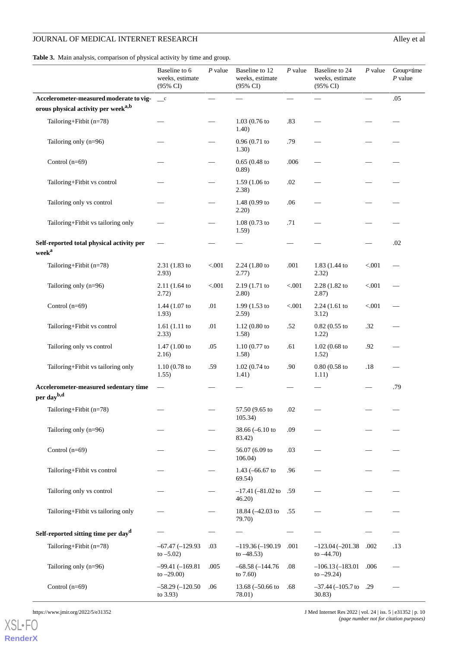<span id="page-9-0"></span>**Table 3.** Main analysis, comparison of physical activity by time and group.

|                                                                 | Baseline to 6<br>weeks, estimate<br>(95% CI) | $P$ value | Baseline to 12<br>weeks, estimate<br>$(95\% \text{ CI})$ | $P$ value | Baseline to 24<br>weeks, estimate<br>(95% CI) | $P$ value | Groupxtime<br>$P$ value |
|-----------------------------------------------------------------|----------------------------------------------|-----------|----------------------------------------------------------|-----------|-----------------------------------------------|-----------|-------------------------|
| Accelerometer-measured moderate to vig-                         | $\mathbf{c}$                                 |           |                                                          |           |                                               |           | .05                     |
| orous physical activity per week <sup>a,b</sup>                 |                                              |           |                                                          |           |                                               |           |                         |
| Tailoring+Fitbit (n=78)                                         |                                              |           | $1.03(0.76)$ to<br>1.40)                                 | .83       |                                               |           |                         |
| Tailoring only $(n=96)$                                         |                                              |           | 0.96(0.71)<br>1.30)                                      | .79       |                                               |           |                         |
| Control $(n=69)$                                                |                                              |           | $0.65(0.48)$ to<br>0.89)                                 | .006      |                                               |           |                         |
| Tailoring+Fitbit vs control                                     |                                              |           | $1.59(1.06)$ to<br>2.38)                                 | $.02\,$   |                                               |           |                         |
| Tailoring only vs control                                       |                                              |           | 1.48 (0.99 to<br>2.20)                                   | .06       |                                               |           |                         |
| Tailoring+Fitbit vs tailoring only                              |                                              |           | $1.08(0.73)$ to<br>1.59)                                 | .71       |                                               |           |                         |
| Self-reported total physical activity per<br>week <sup>a</sup>  |                                              |           |                                                          |           |                                               |           | .02                     |
| Tailoring+Fitbit (n=78)                                         | 2.31 (1.83 to<br>2.93)                       | < 0.001   | 2.24 (1.80 to<br>2.77)                                   | .001      | 1.83 (1.44 to<br>2.32)                        | < .001    |                         |
| Tailoring only (n=96)                                           | 2.11 (1.64 to<br>2.72)                       | < 0.001   | 2.19 (1.71 to<br>2.80)                                   | < 0.001   | 2.28 (1.82 to<br>2.87)                        | < 0.001   |                         |
| Control $(n=69)$                                                | 1.44 $(1.07)$ to<br>1.93)                    | .01       | $1.99(1.53)$ to<br>2.59)                                 | < .001    | 2.24(1.61)<br>3.12)                           | < 0.001   |                         |
| Tailoring+Fitbit vs control                                     | $1.61(1.11)$ to<br>2.33)                     | .01       | $1.12(0.80)$ to<br>1.58)                                 | .52       | $0.82(0.55)$ to<br>1.22)                      | .32       |                         |
| Tailoring only vs control                                       | 1.47(1.00 to<br>2.16)                        | .05       | $1.10(0.77)$ to<br>1.58)                                 | .61       | $1.02(0.68)$ to<br>1.52)                      | .92       |                         |
| Tailoring+Fitbit vs tailoring only                              | $1.10(0.78)$ to<br>1.55)                     | .59       | 1.02(0.74)<br>1.41)                                      | .90       | $0.80(0.58)$ to<br>1.11)                      | .18       |                         |
| Accelerometer-measured sedentary time<br>per day <sup>b,d</sup> |                                              |           |                                                          |           |                                               |           | .79                     |
| Tailoring+Fitbit (n=78)                                         |                                              |           | 57.50 (9.65 to<br>105.34)                                | .02       |                                               |           |                         |
| Tailoring only $(n=96)$                                         |                                              |           | 38.66 $(-6.10)$<br>83.42)                                | .09       |                                               |           |                         |
| Control $(n=69)$                                                |                                              |           | 56.07 (6.09 to<br>106.04)                                | .03       |                                               |           |                         |
| Tailoring+Fitbit vs control                                     |                                              |           | 1.43 $(-66.67)$ to<br>69.54)                             | .96       |                                               |           |                         |
| Tailoring only vs control                                       |                                              |           | $-17.41$ ( $-81.02$ to<br>46.20                          | .59       |                                               |           |                         |
| Tailoring+Fitbit vs tailoring only                              |                                              |           | 18.84 (-42.03 to<br>79.70)                               | .55       |                                               |           |                         |
| Self-reported sitting time per day <sup>d</sup>                 |                                              |           |                                                          |           |                                               |           |                         |
| Tailoring+Fitbit (n=78)                                         | $-67.47(-129.93)$<br>to $-5.02$ )            | .03       | $-119.36(-190.19)$<br>to $-48.53$ )                      | .001      | $-123.04(-201.38)$<br>to $-44.70$ )           | .002      | .13                     |
| Tailoring only (n=96)                                           | $-99.41(-169.81)$<br>to $-29.00$ )           | .005      | $-68.58(-144.76)$<br>to $7.60$ )                         | .08       | $-106.13(-183.01)$<br>to $-29.24$ )           | .006      |                         |
| Control $(n=69)$                                                | $-58.29(-120.50)$<br>to $3.93$ )             | .06       | 13.68 $(-50.66)$<br>78.01)                               | .68       | $-37.44 (-105.7$ to .29<br>30.83)             |           |                         |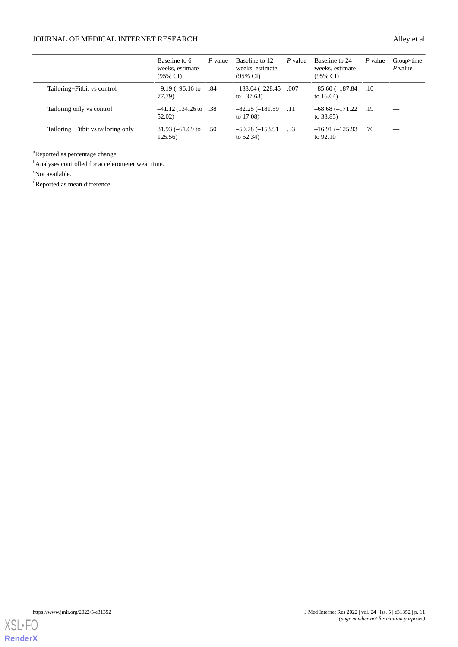|                                    | Baseline to 6<br>weeks, estimate<br>(95% CI) | P value | Baseline to 12<br>weeks, estimate<br>(95% CI) | P value | Baseline to 24<br>weeks, estimate<br>$(95\% \text{ CI})$ | P value | $Group\times time$<br>$P$ value |
|------------------------------------|----------------------------------------------|---------|-----------------------------------------------|---------|----------------------------------------------------------|---------|---------------------------------|
| Tailoring+Fitbit vs control        | $-9.19$ ( $-96.16$ to<br>77.79)              | .84     | $-133.04 (-228.45$<br>to $-37.63$ )           | .007    | $-85.60(-187.84)$<br>to $16.64$ )                        | .10     |                                 |
| Tailoring only vs control          | $-41.12(134.26$ to<br>52.02)                 | .38     | $-82.25(-181.59)$<br>to $17.08$ )             | .11     | $-68.68(-171.22)$<br>to $33.85$ )                        | .19     |                                 |
| Tailoring+Fitbit vs tailoring only | $31.93 (-61.69)$ to<br>125.56)               | .50     | $-50.78(-153.91)$<br>to $52.34$ )             | .33     | $-16.91(-125.93)$<br>to 92.10                            | .76     |                                 |

<sup>a</sup>Reported as percentage change.

<sup>b</sup>Analyses controlled for accelerometer wear time.

<sup>c</sup>Not available.

<sup>d</sup>Reported as mean difference.

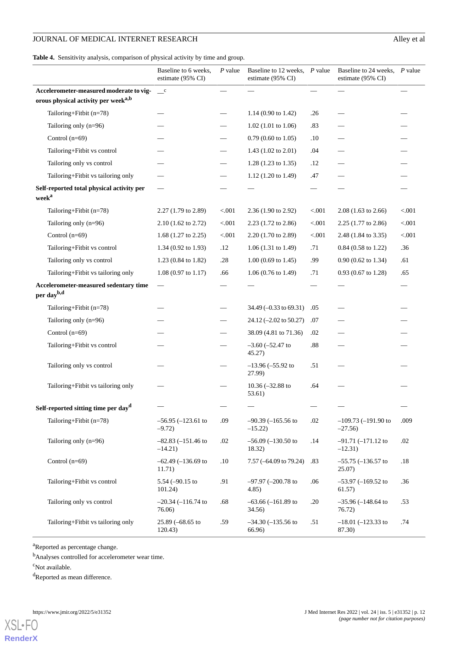<span id="page-11-0"></span>**Table 4.** Sensitivity analysis, comparison of physical activity by time and group.

|                                                                | Baseline to 6 weeks,<br>estimate (95% CI) | $P$ value | Baseline to 12 weeks, P value<br>estimate (95% CI) |        | Baseline to 24 weeks, P value<br>estimate (95% CI) |        |
|----------------------------------------------------------------|-------------------------------------------|-----------|----------------------------------------------------|--------|----------------------------------------------------|--------|
| Accelerometer-measured moderate to vig-                        | $\_\_c$                                   |           |                                                    |        |                                                    |        |
| orous physical activity per week <sup>a,b</sup>                |                                           |           |                                                    |        |                                                    |        |
| Tailoring+Fitbit (n=78)                                        |                                           |           | 1.14 $(0.90 \text{ to } 1.42)$                     | .26    |                                                    |        |
| Tailoring only (n=96)                                          |                                           |           | $1.02$ (1.01 to 1.06)                              | .83    |                                                    |        |
| Control $(n=69)$                                               |                                           |           | $0.79(0.60 \text{ to } 1.05)$                      | .10    |                                                    |        |
| Tailoring+Fitbit vs control                                    |                                           |           | 1.43 (1.02 to 2.01)                                | .04    |                                                    |        |
| Tailoring only vs control                                      |                                           |           | 1.28 (1.23 to 1.35)                                | .12    |                                                    |        |
| Tailoring+Fitbit vs tailoring only                             |                                           |           | 1.12 (1.20 to 1.49)                                | .47    |                                                    |        |
| Self-reported total physical activity per<br>week <sup>a</sup> |                                           |           |                                                    |        |                                                    |        |
| Tailoring+Fitbit (n=78)                                        | 2.27 (1.79 to 2.89)                       | < 0.001   | 2.36 (1.90 to 2.92)                                | < .001 | $2.08(1.63 \text{ to } 2.66)$                      | < .001 |
| Tailoring only (n=96)                                          | 2.10 (1.62 to 2.72)                       | < 0.001   | 2.23 (1.72 to 2.86)                                | < .001 | 2.25 (1.77 to 2.86)                                | < .001 |
| Control $(n=69)$                                               | 1.68 $(1.27 \text{ to } 2.25)$            | < .001    | 2.20 (1.70 to 2.89)                                | < .001 | 2.48 (1.84 to 3.35)                                | < .001 |
| Tailoring+Fitbit vs control                                    | 1.34 $(0.92 \text{ to } 1.93)$            | .12       | $1.06(1.31 \text{ to } 1.49)$                      | .71    | $0.84$ (0.58 to 1.22)                              | .36    |
| Tailoring only vs control                                      | 1.23 (0.84 to 1.82)                       | .28       | $1.00$ (0.69 to 1.45)                              | .99    | $0.90$ (0.62 to 1.34)                              | .61    |
| Tailoring+Fitbit vs tailoring only                             | $1.08(0.97 \text{ to } 1.17)$             | .66       | $1.06(0.76 \text{ to } 1.49)$                      | .71    | $0.93(0.67 \text{ to } 1.28)$                      | .65    |
| Accelerometer-measured sedentary time<br>per dayb,d            | $\overline{\phantom{m}}$                  |           |                                                    |        |                                                    |        |
| Tailoring+Fitbit (n=78)                                        |                                           |           | $34.49 (-0.33 \text{ to } 69.31)$                  | .05    |                                                    |        |
| Tailoring only (n=96)                                          |                                           |           | $24.12 (-2.02 \text{ to } 50.27)$                  | .07    |                                                    |        |
| Control $(n=69)$                                               |                                           |           | 38.09 (4.81 to 71.36)                              | .02    |                                                    |        |
| Tailoring+Fitbit vs control                                    |                                           |           | $-3.60$ $(-52.47)$ to<br>45.27)                    | .88    |                                                    |        |
| Tailoring only vs control                                      |                                           |           | $-13.96 (-55.92)$<br>27.99)                        | .51    |                                                    |        |
| Tailoring+Fitbit vs tailoring only                             |                                           |           | 10.36 $(-32.88)$ to<br>53.61)                      | .64    |                                                    |        |
| Self-reported sitting time per day <sup>d</sup>                |                                           |           |                                                    |        |                                                    |        |
| Tailoring+Fitbit $(n=78)$                                      | $-56.95$ $(-123.61$ to<br>$-9.72$         | .09       | $-90.39$ $(-165.56$ to<br>$-15.22$                 | .02    | $-109.73$ ( $-191.90$ to<br>$-27.56$               | .009   |
| Tailoring only $(n=96)$                                        | $-82.83$ ( $-151.46$ to<br>$-14.21)$      | .02       | $-56.09$ $(-130.50$ to<br>18.32)                   | .14    | $-91.71(-171.12$ to<br>$-12.31)$                   | .02    |
| Control $(n=69)$                                               | $-62.49$ $(-136.69$ to<br>11.71)          | .10       | 7.57 ( $-64.09$ to 79.24)                          | .83    | $-55.75$ ( $-136.57$ to<br>25.07)                  | .18    |
| Tailoring+Fitbit vs control                                    | 5.54 $(-90.15$ to<br>101.24)              | .91       | $-97.97$ $(-200.78$ to<br>4.85)                    | .06    | $-53.97$ $(-169.52$ to<br>61.57)                   | .36    |
| Tailoring only vs control                                      | $-20.34 (-116.74)$<br>76.06)              | .68       | $-63.66$ $(-161.89$ to<br>34.56)                   | .20    | $-35.96 (-148.64)$<br>76.72)                       | .53    |
| Tailoring+Fitbit vs tailoring only                             | 25.89 (-68.65 to<br>120.43)               | .59       | $-34.30(-135.56)$ to<br>66.96)                     | .51    | $-18.01$ $(-123.33$ to<br>87.30)                   | .74    |

<sup>a</sup>Reported as percentage change.

<sup>b</sup>Analyses controlled for accelerometer wear time.

<sup>c</sup>Not available.

[XSL](http://www.w3.org/Style/XSL)•FO **[RenderX](http://www.renderx.com/)**

<sup>d</sup>Reported as mean difference.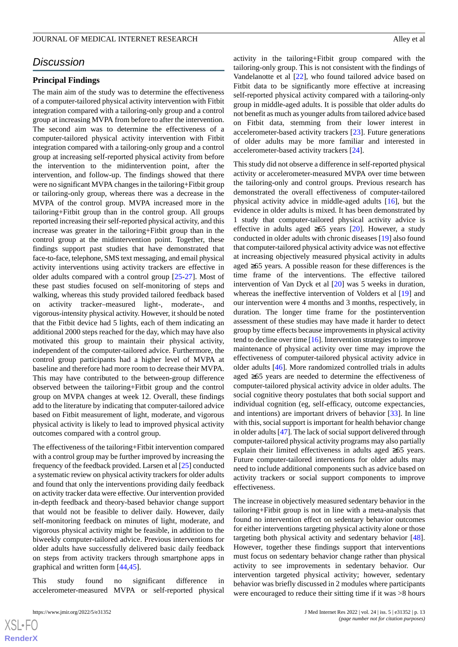# *Discussion*

#### **Principal Findings**

The main aim of the study was to determine the effectiveness of a computer-tailored physical activity intervention with Fitbit integration compared with a tailoring-only group and a control group at increasing MVPA from before to after the intervention. The second aim was to determine the effectiveness of a computer-tailored physical activity intervention with Fitbit integration compared with a tailoring-only group and a control group at increasing self-reported physical activity from before the intervention to the midintervention point, after the intervention, and follow-up. The findings showed that there were no significant MVPA changes in the tailoring+Fitbit group or tailoring-only group, whereas there was a decrease in the MVPA of the control group. MVPA increased more in the tailoring+Fitbit group than in the control group. All groups reported increasing their self-reported physical activity, and this increase was greater in the tailoring+Fitbit group than in the control group at the midintervention point. Together, these findings support past studies that have demonstrated that face-to-face, telephone, SMS text messaging, and email physical activity interventions using activity trackers are effective in older adults compared with a control group [[25](#page-15-3)[-27](#page-15-5)]. Most of these past studies focused on self-monitoring of steps and walking, whereas this study provided tailored feedback based on activity tracker–measured light-, moderate-, and vigorous-intensity physical activity. However, it should be noted that the Fitbit device had 5 lights, each of them indicating an additional 2000 steps reached for the day, which may have also motivated this group to maintain their physical activity, independent of the computer-tailored advice. Furthermore, the control group participants had a higher level of MVPA at baseline and therefore had more room to decrease their MVPA. This may have contributed to the between-group difference observed between the tailoring+Fitbit group and the control group on MVPA changes at week 12. Overall, these findings add to the literature by indicating that computer-tailored advice based on Fitbit measurement of light, moderate, and vigorous physical activity is likely to lead to improved physical activity outcomes compared with a control group.

The effectiveness of the tailoring+Fitbit intervention compared with a control group may be further improved by increasing the frequency of the feedback provided. Larsen et al [[25\]](#page-15-3) conducted a systematic review on physical activity trackers for older adults and found that only the interventions providing daily feedback on activity tracker data were effective. Our intervention provided in-depth feedback and theory-based behavior change support that would not be feasible to deliver daily. However, daily self-monitoring feedback on minutes of light, moderate, and vigorous physical activity might be feasible, in addition to the biweekly computer-tailored advice. Previous interventions for older adults have successfully delivered basic daily feedback on steps from activity trackers through smartphone apps in graphical and written form [\[44](#page-16-0),[45\]](#page-16-1).

This study found no significant difference in accelerometer-measured MVPA or self-reported physical

activity in the tailoring+Fitbit group compared with the tailoring-only group. This is not consistent with the findings of Vandelanotte et al [[22\]](#page-15-0), who found tailored advice based on Fitbit data to be significantly more effective at increasing self-reported physical activity compared with a tailoring-only group in middle-aged adults. It is possible that older adults do not benefit as much as younger adults from tailored advice based on Fitbit data, stemming from their lower interest in accelerometer-based activity trackers [[23\]](#page-15-1). Future generations of older adults may be more familiar and interested in accelerometer-based activity trackers [[24\]](#page-15-2).

This study did not observe a difference in self-reported physical activity or accelerometer-measured MVPA over time between the tailoring-only and control groups. Previous research has demonstrated the overall effectiveness of computer-tailored physical activity advice in middle-aged adults [[16\]](#page-14-13), but the evidence in older adults is mixed. It has been demonstrated by 1 study that computer-tailored physical activity advice is effective in adults aged  $\geq 65$  years [[20\]](#page-14-17). However, a study conducted in older adults with chronic diseases [[19\]](#page-14-16) also found that computer-tailored physical activity advice was not effective at increasing objectively measured physical activity in adults aged ≥65 years. A possible reason for these differences is the time frame of the interventions. The effective tailored intervention of Van Dyck et al [\[20](#page-14-17)] was 5 weeks in duration, whereas the ineffective intervention of Volders et al [[19\]](#page-14-16) and our intervention were 4 months and 3 months, respectively, in duration. The longer time frame for the postintervention assessment of these studies may have made it harder to detect group by time effects because improvements in physical activity tend to decline over time [\[16](#page-14-13)]. Intervention strategies to improve maintenance of physical activity over time may improve the effectiveness of computer-tailored physical activity advice in older adults [[46\]](#page-16-2). More randomized controlled trials in adults aged ≥65 years are needed to determine the effectiveness of computer-tailored physical activity advice in older adults. The social cognitive theory postulates that both social support and individual cognition (eg, self-efficacy, outcome expectancies, and intentions) are important drivers of behavior [\[33](#page-15-11)]. In line with this, social support is important for health behavior change in older adults [\[47](#page-16-3)]. The lack of social support delivered through computer-tailored physical activity programs may also partially explain their limited effectiveness in adults aged ≥65 years. Future computer-tailored interventions for older adults may need to include additional components such as advice based on activity trackers or social support components to improve effectiveness.

The increase in objectively measured sedentary behavior in the tailoring+Fitbit group is not in line with a meta-analysis that found no intervention effect on sedentary behavior outcomes for either interventions targeting physical activity alone or those targeting both physical activity and sedentary behavior [[48\]](#page-16-4). However, together these findings support that interventions must focus on sedentary behavior change rather than physical activity to see improvements in sedentary behavior. Our intervention targeted physical activity; however, sedentary behavior was briefly discussed in 2 modules where participants were encouraged to reduce their sitting time if it was >8 hours

 $XSI - F($ **[RenderX](http://www.renderx.com/)**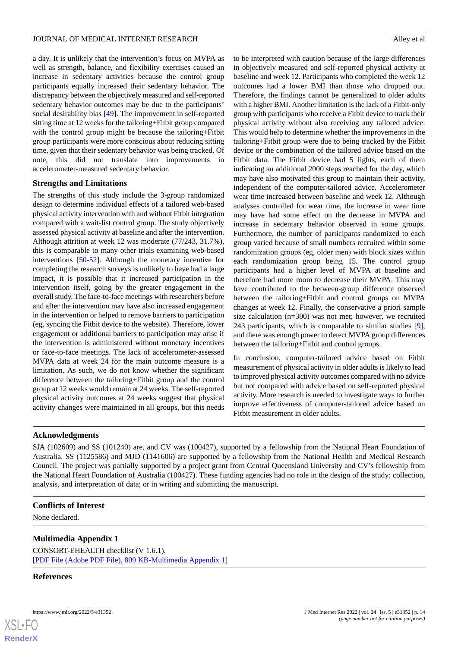a day. It is unlikely that the intervention's focus on MVPA as well as strength, balance, and flexibility exercises caused an increase in sedentary activities because the control group participants equally increased their sedentary behavior. The discrepancy between the objectively measured and self-reported sedentary behavior outcomes may be due to the participants' social desirability bias [\[49](#page-16-5)]. The improvement in self-reported sitting time at 12 weeks for the tailoring+Fitbit group compared with the control group might be because the tailoring+Fitbit group participants were more conscious about reducing sitting time, given that their sedentary behavior was being tracked. Of note, this did not translate into improvements in accelerometer-measured sedentary behavior.

#### **Strengths and Limitations**

The strengths of this study include the 3-group randomized design to determine individual effects of a tailored web-based physical activity intervention with and without Fitbit integration compared with a wait-list control group. The study objectively assessed physical activity at baseline and after the intervention. Although attrition at week 12 was moderate (77/243, 31.7%), this is comparable to many other trials examining web-based interventions [[50-](#page-16-6)[52](#page-16-7)]. Although the monetary incentive for completing the research surveys is unlikely to have had a large impact, it is possible that it increased participation in the intervention itself, going by the greater engagement in the overall study. The face-to-face meetings with researchers before and after the intervention may have also increased engagement in the intervention or helped to remove barriers to participation (eg, syncing the Fitbit device to the website). Therefore, lower engagement or additional barriers to participation may arise if the intervention is administered without monetary incentives or face-to-face meetings. The lack of accelerometer-assessed MVPA data at week 24 for the main outcome measure is a limitation. As such, we do not know whether the significant difference between the tailoring+Fitbit group and the control group at 12 weeks would remain at 24 weeks. The self-reported physical activity outcomes at 24 weeks suggest that physical activity changes were maintained in all groups, but this needs

to be interpreted with caution because of the large differences in objectively measured and self-reported physical activity at baseline and week 12. Participants who completed the week 12 outcomes had a lower BMI than those who dropped out. Therefore, the findings cannot be generalized to older adults with a higher BMI. Another limitation is the lack of a Fitbit-only group with participants who receive a Fitbit device to track their physical activity without also receiving any tailored advice. This would help to determine whether the improvements in the tailoring+Fitbit group were due to being tracked by the Fitbit device or the combination of the tailored advice based on the Fitbit data. The Fitbit device had 5 lights, each of them indicating an additional 2000 steps reached for the day, which may have also motivated this group to maintain their activity, independent of the computer-tailored advice. Accelerometer wear time increased between baseline and week 12. Although analyses controlled for wear time, the increase in wear time may have had some effect on the decrease in MVPA and increase in sedentary behavior observed in some groups. Furthermore, the number of participants randomized to each group varied because of small numbers recruited within some randomization groups (eg, older men) with block sizes within each randomization group being 15. The control group participants had a higher level of MVPA at baseline and therefore had more room to decrease their MVPA. This may have contributed to the between-group difference observed between the tailoring+Fitbit and control groups on MVPA changes at week 12. Finally, the conservative a priori sample size calculation (n=300) was not met; however, we recruited 243 participants, which is comparable to similar studies [[9\]](#page-14-7), and there was enough power to detect MVPA group differences between the tailoring+Fitbit and control groups.

In conclusion, computer-tailored advice based on Fitbit measurement of physical activity in older adults is likely to lead to improved physical activity outcomes compared with no advice but not compared with advice based on self-reported physical activity. More research is needed to investigate ways to further improve effectiveness of computer-tailored advice based on Fitbit measurement in older adults.

#### **Acknowledgments**

SJA (102609) and SS (101240) are, and CV was (100427), supported by a fellowship from the National Heart Foundation of Australia. SS (1125586) and MJD (1141606) are supported by a fellowship from the National Health and Medical Research Council. The project was partially supported by a project grant from Central Queensland University and CV's fellowship from the National Heart Foundation of Australia (100427). These funding agencies had no role in the design of the study; collection, analysis, and interpretation of data; or in writing and submitting the manuscript.

#### **Conflicts of Interest**

None declared.

#### **Multimedia Appendix 1**

CONSORT-EHEALTH checklist (V 1.6.1). [[PDF File \(Adobe PDF File\), 809 KB](https://jmir.org/api/download?alt_name=jmir_v24i5e31352_app1.pdf&filename=32d166b3499cd27bb1f27bd69c5e7292.pdf)-[Multimedia Appendix 1\]](https://jmir.org/api/download?alt_name=jmir_v24i5e31352_app1.pdf&filename=32d166b3499cd27bb1f27bd69c5e7292.pdf)

#### **References**

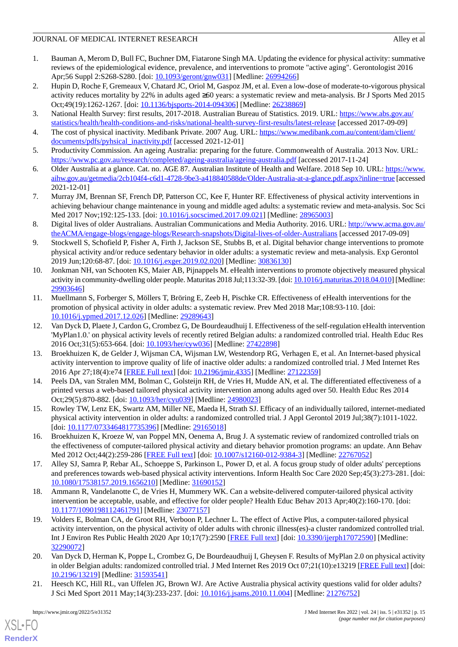- <span id="page-14-0"></span>1. Bauman A, Merom D, Bull FC, Buchner DM, Fiatarone Singh MA. Updating the evidence for physical activity: summative reviews of the epidemiological evidence, prevalence, and interventions to promote "active aging". Gerontologist 2016 Apr;56 Suppl 2:S268-S280. [doi: [10.1093/geront/gnw031\]](http://dx.doi.org/10.1093/geront/gnw031) [Medline: [26994266](http://www.ncbi.nlm.nih.gov/entrez/query.fcgi?cmd=Retrieve&db=PubMed&list_uids=26994266&dopt=Abstract)]
- <span id="page-14-1"></span>2. Hupin D, Roche F, Gremeaux V, Chatard JC, Oriol M, Gaspoz JM, et al. Even a low-dose of moderate-to-vigorous physical activity reduces mortality by 22% in adults aged ≥60 years: a systematic review and meta-analysis. Br J Sports Med 2015 Oct;49(19):1262-1267. [doi: [10.1136/bjsports-2014-094306](http://dx.doi.org/10.1136/bjsports-2014-094306)] [Medline: [26238869](http://www.ncbi.nlm.nih.gov/entrez/query.fcgi?cmd=Retrieve&db=PubMed&list_uids=26238869&dopt=Abstract)]
- <span id="page-14-3"></span><span id="page-14-2"></span>3. National Health Survey: first results, 2017-2018. Australian Bureau of Statistics. 2019. URL: [https://www.abs.gov.au/](https://www.abs.gov.au/statistics/health/health-conditions-and-risks/national-health-survey-first-results/latest-release) [statistics/health/health-conditions-and-risks/national-health-survey-first-results/latest-release](https://www.abs.gov.au/statistics/health/health-conditions-and-risks/national-health-survey-first-results/latest-release) [accessed 2017-09-09]
- 4. The cost of physical inactivity. Medibank Private. 2007 Aug. URL: [https://www.medibank.com.au/content/dam/client/](https://www.medibank.com.au/content/dam/client/documents/pdfs/pyhsical_inactivity.pdf) [documents/pdfs/pyhsical\\_inactivity.pdf](https://www.medibank.com.au/content/dam/client/documents/pdfs/pyhsical_inactivity.pdf) [accessed 2021-12-01]
- <span id="page-14-4"></span>5. Productivity Commission. An ageing Australia: preparing for the future. Commonwealth of Australia. 2013 Nov. URL: <https://www.pc.gov.au/research/completed/ageing-australia/ageing-australia.pdf> [accessed 2017-11-24]
- <span id="page-14-5"></span>6. Older Australia at a glance. Cat. no. AGE 87. Australian Institute of Health and Welfare. 2018 Sep 10. URL: [https://www.](https://www.aihw.gov.au/getmedia/2cb104f4-c6d1-4728-9be3-a418840588de/Older-Australia-at-a-glance.pdf.aspx?inline=true) [aihw.gov.au/getmedia/2cb104f4-c6d1-4728-9be3-a418840588de/Older-Australia-at-a-glance.pdf.aspx?inline=true](https://www.aihw.gov.au/getmedia/2cb104f4-c6d1-4728-9be3-a418840588de/Older-Australia-at-a-glance.pdf.aspx?inline=true) [accessed 2021-12-01]
- <span id="page-14-6"></span>7. Murray JM, Brennan SF, French DP, Patterson CC, Kee F, Hunter RF. Effectiveness of physical activity interventions in achieving behaviour change maintenance in young and middle aged adults: a systematic review and meta-analysis. Soc Sci Med 2017 Nov;192:125-133. [doi: [10.1016/j.socscimed.2017.09.021\]](http://dx.doi.org/10.1016/j.socscimed.2017.09.021) [Medline: [28965003\]](http://www.ncbi.nlm.nih.gov/entrez/query.fcgi?cmd=Retrieve&db=PubMed&list_uids=28965003&dopt=Abstract)
- <span id="page-14-7"></span>8. Digital lives of older Australians. Australian Communications and Media Authority. 2016. URL: [http://www.acma.gov.au/](http://www.acma.gov.au/theACMA/engage-blogs/engage-blogs/Research-snapshots/Digital-lives-of-older-Australians) [theACMA/engage-blogs/engage-blogs/Research-snapshots/Digital-lives-of-older-Australians](http://www.acma.gov.au/theACMA/engage-blogs/engage-blogs/Research-snapshots/Digital-lives-of-older-Australians) [accessed 2017-09-09]
- 9. Stockwell S, Schofield P, Fisher A, Firth J, Jackson SE, Stubbs B, et al. Digital behavior change interventions to promote physical activity and/or reduce sedentary behavior in older adults: a systematic review and meta-analysis. Exp Gerontol 2019 Jun;120:68-87. [doi: [10.1016/j.exger.2019.02.020\]](http://dx.doi.org/10.1016/j.exger.2019.02.020) [Medline: [30836130\]](http://www.ncbi.nlm.nih.gov/entrez/query.fcgi?cmd=Retrieve&db=PubMed&list_uids=30836130&dopt=Abstract)
- <span id="page-14-8"></span>10. Jonkman NH, van Schooten KS, Maier AB, Pijnappels M. eHealth interventions to promote objectively measured physical activity in community-dwelling older people. Maturitas 2018 Jul;113:32-39. [doi: [10.1016/j.maturitas.2018.04.010](http://dx.doi.org/10.1016/j.maturitas.2018.04.010)] [Medline: [29903646](http://www.ncbi.nlm.nih.gov/entrez/query.fcgi?cmd=Retrieve&db=PubMed&list_uids=29903646&dopt=Abstract)]
- <span id="page-14-9"></span>11. Muellmann S, Forberger S, Möllers T, Bröring E, Zeeb H, Pischke CR. Effectiveness of eHealth interventions for the promotion of physical activity in older adults: a systematic review. Prev Med 2018 Mar;108:93-110. [doi: [10.1016/j.ypmed.2017.12.026\]](http://dx.doi.org/10.1016/j.ypmed.2017.12.026) [Medline: [29289643\]](http://www.ncbi.nlm.nih.gov/entrez/query.fcgi?cmd=Retrieve&db=PubMed&list_uids=29289643&dopt=Abstract)
- <span id="page-14-10"></span>12. Van Dyck D, Plaete J, Cardon G, Crombez G, De Bourdeaudhuij I. Effectiveness of the self-regulation eHealth intervention 'MyPlan1.0.' on physical activity levels of recently retired Belgian adults: a randomized controlled trial. Health Educ Res 2016 Oct;31(5):653-664. [doi: [10.1093/her/cyw036\]](http://dx.doi.org/10.1093/her/cyw036) [Medline: [27422898](http://www.ncbi.nlm.nih.gov/entrez/query.fcgi?cmd=Retrieve&db=PubMed&list_uids=27422898&dopt=Abstract)]
- <span id="page-14-11"></span>13. Broekhuizen K, de Gelder J, Wijsman CA, Wijsman LW, Westendorp RG, Verhagen E, et al. An Internet-based physical activity intervention to improve quality of life of inactive older adults: a randomized controlled trial. J Med Internet Res 2016 Apr 27;18(4):e74 [[FREE Full text\]](https://www.jmir.org/2016/4/e74/) [doi: [10.2196/jmir.4335](http://dx.doi.org/10.2196/jmir.4335)] [Medline: [27122359\]](http://www.ncbi.nlm.nih.gov/entrez/query.fcgi?cmd=Retrieve&db=PubMed&list_uids=27122359&dopt=Abstract)
- <span id="page-14-13"></span><span id="page-14-12"></span>14. Peels DA, van Stralen MM, Bolman C, Golsteijn RH, de Vries H, Mudde AN, et al. The differentiated effectiveness of a printed versus a web-based tailored physical activity intervention among adults aged over 50. Health Educ Res 2014 Oct;29(5):870-882. [doi: [10.1093/her/cyu039](http://dx.doi.org/10.1093/her/cyu039)] [Medline: [24980023\]](http://www.ncbi.nlm.nih.gov/entrez/query.fcgi?cmd=Retrieve&db=PubMed&list_uids=24980023&dopt=Abstract)
- <span id="page-14-14"></span>15. Rowley TW, Lenz EK, Swartz AM, Miller NE, Maeda H, Strath SJ. Efficacy of an individually tailored, internet-mediated physical activity intervention in older adults: a randomized controlled trial. J Appl Gerontol 2019 Jul;38(7):1011-1022. [doi: [10.1177/0733464817735396](http://dx.doi.org/10.1177/0733464817735396)] [Medline: [29165018\]](http://www.ncbi.nlm.nih.gov/entrez/query.fcgi?cmd=Retrieve&db=PubMed&list_uids=29165018&dopt=Abstract)
- <span id="page-14-15"></span>16. Broekhuizen K, Kroeze W, van Poppel MN, Oenema A, Brug J. A systematic review of randomized controlled trials on the effectiveness of computer-tailored physical activity and dietary behavior promotion programs: an update. Ann Behav Med 2012 Oct;44(2):259-286 [[FREE Full text](http://europepmc.org/abstract/MED/22767052)] [doi: [10.1007/s12160-012-9384-3](http://dx.doi.org/10.1007/s12160-012-9384-3)] [Medline: [22767052](http://www.ncbi.nlm.nih.gov/entrez/query.fcgi?cmd=Retrieve&db=PubMed&list_uids=22767052&dopt=Abstract)]
- <span id="page-14-16"></span>17. Alley SJ, Samra P, Rebar AL, Schoeppe S, Parkinson L, Power D, et al. A focus group study of older adults' perceptions and preferences towards web-based physical activity interventions. Inform Health Soc Care 2020 Sep;45(3):273-281. [doi: [10.1080/17538157.2019.1656210\]](http://dx.doi.org/10.1080/17538157.2019.1656210) [Medline: [31690152\]](http://www.ncbi.nlm.nih.gov/entrez/query.fcgi?cmd=Retrieve&db=PubMed&list_uids=31690152&dopt=Abstract)
- <span id="page-14-17"></span>18. Ammann R, Vandelanotte C, de Vries H, Mummery WK. Can a website-delivered computer-tailored physical activity intervention be acceptable, usable, and effective for older people? Health Educ Behav 2013 Apr;40(2):160-170. [doi: [10.1177/1090198112461791\]](http://dx.doi.org/10.1177/1090198112461791) [Medline: [23077157\]](http://www.ncbi.nlm.nih.gov/entrez/query.fcgi?cmd=Retrieve&db=PubMed&list_uids=23077157&dopt=Abstract)
- <span id="page-14-18"></span>19. Volders E, Bolman CA, de Groot RH, Verboon P, Lechner L. The effect of Active Plus, a computer-tailored physical activity intervention, on the physical activity of older adults with chronic illness(es)-a cluster randomized controlled trial. Int J Environ Res Public Health 2020 Apr 10;17(7):2590 [\[FREE Full text\]](https://www.mdpi.com/resolver?pii=ijerph17072590) [doi: [10.3390/ijerph17072590](http://dx.doi.org/10.3390/ijerph17072590)] [Medline: [32290072](http://www.ncbi.nlm.nih.gov/entrez/query.fcgi?cmd=Retrieve&db=PubMed&list_uids=32290072&dopt=Abstract)]
- 20. Van Dyck D, Herman K, Poppe L, Crombez G, De Bourdeaudhuij I, Gheysen F. Results of MyPlan 2.0 on physical activity in older Belgian adults: randomized controlled trial. J Med Internet Res 2019 Oct 07;21(10):e13219 [\[FREE Full text](https://www.jmir.org/2019/10/e13219/)] [doi: [10.2196/13219\]](http://dx.doi.org/10.2196/13219) [Medline: [31593541\]](http://www.ncbi.nlm.nih.gov/entrez/query.fcgi?cmd=Retrieve&db=PubMed&list_uids=31593541&dopt=Abstract)
- 21. Heesch KC, Hill RL, van Uffelen JG, Brown WJ. Are Active Australia physical activity questions valid for older adults? J Sci Med Sport 2011 May;14(3):233-237. [doi: [10.1016/j.jsams.2010.11.004\]](http://dx.doi.org/10.1016/j.jsams.2010.11.004) [Medline: [21276752\]](http://www.ncbi.nlm.nih.gov/entrez/query.fcgi?cmd=Retrieve&db=PubMed&list_uids=21276752&dopt=Abstract)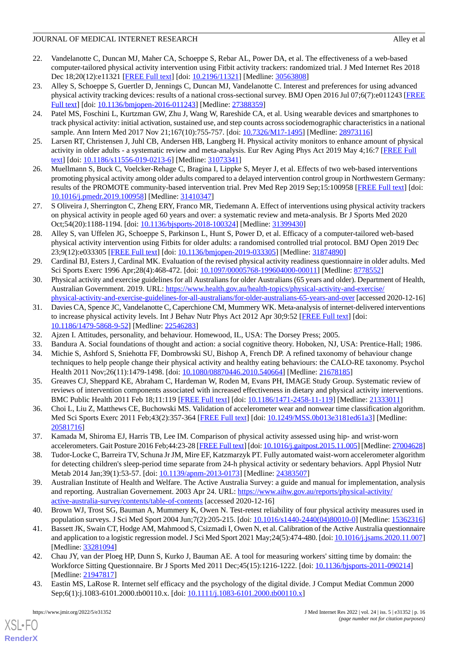- <span id="page-15-0"></span>22. Vandelanotte C, Duncan MJ, Maher CA, Schoeppe S, Rebar AL, Power DA, et al. The effectiveness of a web-based computer-tailored physical activity intervention using Fitbit activity trackers: randomized trial. J Med Internet Res 2018 Dec 18;20(12):e11321 [[FREE Full text](https://www.jmir.org/2018/12/e11321/)] [doi: [10.2196/11321](http://dx.doi.org/10.2196/11321)] [Medline: [30563808](http://www.ncbi.nlm.nih.gov/entrez/query.fcgi?cmd=Retrieve&db=PubMed&list_uids=30563808&dopt=Abstract)]
- <span id="page-15-1"></span>23. Alley S, Schoeppe S, Guertler D, Jennings C, Duncan MJ, Vandelanotte C. Interest and preferences for using advanced physical activity tracking devices: results of a national cross-sectional survey. BMJ Open 2016 Jul 07;6(7):e011243 [\[FREE](https://bmjopen.bmj.com/lookup/pmidlookup?view=long&pmid=27388359) [Full text\]](https://bmjopen.bmj.com/lookup/pmidlookup?view=long&pmid=27388359) [doi: [10.1136/bmjopen-2016-011243](http://dx.doi.org/10.1136/bmjopen-2016-011243)] [Medline: [27388359\]](http://www.ncbi.nlm.nih.gov/entrez/query.fcgi?cmd=Retrieve&db=PubMed&list_uids=27388359&dopt=Abstract)
- <span id="page-15-2"></span>24. Patel MS, Foschini L, Kurtzman GW, Zhu J, Wang W, Rareshide CA, et al. Using wearable devices and smartphones to track physical activity: initial activation, sustained use, and step counts across sociodemographic characteristics in a national sample. Ann Intern Med 2017 Nov 21;167(10):755-757. [doi: [10.7326/M17-1495](http://dx.doi.org/10.7326/M17-1495)] [Medline: [28973116](http://www.ncbi.nlm.nih.gov/entrez/query.fcgi?cmd=Retrieve&db=PubMed&list_uids=28973116&dopt=Abstract)]
- <span id="page-15-4"></span><span id="page-15-3"></span>25. Larsen RT, Christensen J, Juhl CB, Andersen HB, Langberg H. Physical activity monitors to enhance amount of physical activity in older adults - a systematic review and meta-analysis. Eur Rev Aging Phys Act 2019 May 4;16:7 [\[FREE Full](https://eurapa.biomedcentral.com/articles/10.1186/s11556-019-0213-6) [text](https://eurapa.biomedcentral.com/articles/10.1186/s11556-019-0213-6)] [doi: [10.1186/s11556-019-0213-6\]](http://dx.doi.org/10.1186/s11556-019-0213-6) [Medline: [31073341](http://www.ncbi.nlm.nih.gov/entrez/query.fcgi?cmd=Retrieve&db=PubMed&list_uids=31073341&dopt=Abstract)]
- <span id="page-15-5"></span>26. Muellmann S, Buck C, Voelcker-Rehage C, Bragina I, Lippke S, Meyer J, et al. Effects of two web-based interventions promoting physical activity among older adults compared to a delayed intervention control group in Northwestern Germany: results of the PROMOTE community-based intervention trial. Prev Med Rep 2019 Sep;15:100958 [\[FREE Full text](https://linkinghub.elsevier.com/retrieve/pii/S2211-3355(19)30129-9)] [doi: [10.1016/j.pmedr.2019.100958](http://dx.doi.org/10.1016/j.pmedr.2019.100958)] [Medline: [31410347\]](http://www.ncbi.nlm.nih.gov/entrez/query.fcgi?cmd=Retrieve&db=PubMed&list_uids=31410347&dopt=Abstract)
- <span id="page-15-6"></span>27. S Oliveira J, Sherrington C, Zheng ERY, Franco MR, Tiedemann A. Effect of interventions using physical activity trackers on physical activity in people aged 60 years and over: a systematic review and meta-analysis. Br J Sports Med 2020 Oct;54(20):1188-1194. [doi: [10.1136/bjsports-2018-100324](http://dx.doi.org/10.1136/bjsports-2018-100324)] [Medline: [31399430](http://www.ncbi.nlm.nih.gov/entrez/query.fcgi?cmd=Retrieve&db=PubMed&list_uids=31399430&dopt=Abstract)]
- <span id="page-15-7"></span>28. Alley S, van Uffelen JG, Schoeppe S, Parkinson L, Hunt S, Power D, et al. Efficacy of a computer-tailored web-based physical activity intervention using Fitbits for older adults: a randomised controlled trial protocol. BMJ Open 2019 Dec 23;9(12):e033305 [\[FREE Full text](https://bmjopen.bmj.com/lookup/pmidlookup?view=long&pmid=31874890)] [doi: [10.1136/bmjopen-2019-033305\]](http://dx.doi.org/10.1136/bmjopen-2019-033305) [Medline: [31874890](http://www.ncbi.nlm.nih.gov/entrez/query.fcgi?cmd=Retrieve&db=PubMed&list_uids=31874890&dopt=Abstract)]
- <span id="page-15-8"></span>29. Cardinal BJ, Esters J, Cardinal MK. Evaluation of the revised physical activity readiness questionnaire in older adults. Med Sci Sports Exerc 1996 Apr;28(4):468-472. [doi: [10.1097/00005768-199604000-00011](http://dx.doi.org/10.1097/00005768-199604000-00011)] [Medline: [8778552](http://www.ncbi.nlm.nih.gov/entrez/query.fcgi?cmd=Retrieve&db=PubMed&list_uids=8778552&dopt=Abstract)]
- <span id="page-15-9"></span>30. Physical activity and exercise guidelines for all Australians for older Australians (65 years and older). Department of Health, Australian Government. 2019. URL: [https://www.health.gov.au/health-topics/physical-activity-and-exercise/](https://www.health.gov.au/health-topics/physical-activity-and-exercise/physical-activity-and-exercise-guidelines-for-all-australians/for-older-australians-65-years-and-over) [physical-activity-and-exercise-guidelines-for-all-australians/for-older-australians-65-years-and-over](https://www.health.gov.au/health-topics/physical-activity-and-exercise/physical-activity-and-exercise-guidelines-for-all-australians/for-older-australians-65-years-and-over) [accessed 2020-12-16]
- <span id="page-15-12"></span><span id="page-15-11"></span><span id="page-15-10"></span>31. Davies CA, Spence JC, Vandelanotte C, Caperchione CM, Mummery WK. Meta-analysis of internet-delivered interventions to increase physical activity levels. Int J Behav Nutr Phys Act 2012 Apr 30;9:52 [\[FREE Full text\]](https://ijbnpa.biomedcentral.com/articles/10.1186/1479-5868-9-52) [doi: [10.1186/1479-5868-9-52\]](http://dx.doi.org/10.1186/1479-5868-9-52) [Medline: [22546283\]](http://www.ncbi.nlm.nih.gov/entrez/query.fcgi?cmd=Retrieve&db=PubMed&list_uids=22546283&dopt=Abstract)
- 32. Ajzen I. Attitudes, personality, and behaviour. Homewood, IL, USA: The Dorsey Press; 2005.
- <span id="page-15-13"></span>33. Bandura A. Social foundations of thought and action: a social cognitive theory. Hoboken, NJ, USA: Prentice-Hall; 1986.
- 34. Michie S, Ashford S, Sniehotta FF, Dombrowski SU, Bishop A, French DP. A refined taxonomy of behaviour change techniques to help people change their physical activity and healthy eating behaviours: the CALO-RE taxonomy. Psychol Health 2011 Nov;26(11):1479-1498. [doi: [10.1080/08870446.2010.540664\]](http://dx.doi.org/10.1080/08870446.2010.540664) [Medline: [21678185](http://www.ncbi.nlm.nih.gov/entrez/query.fcgi?cmd=Retrieve&db=PubMed&list_uids=21678185&dopt=Abstract)]
- <span id="page-15-15"></span><span id="page-15-14"></span>35. Greaves CJ, Sheppard KE, Abraham C, Hardeman W, Roden M, Evans PH, IMAGE Study Group. Systematic review of reviews of intervention components associated with increased effectiveness in dietary and physical activity interventions. BMC Public Health 2011 Feb 18;11:119 [[FREE Full text](https://bmcpublichealth.biomedcentral.com/articles/10.1186/1471-2458-11-119)] [doi: [10.1186/1471-2458-11-119\]](http://dx.doi.org/10.1186/1471-2458-11-119) [Medline: [21333011](http://www.ncbi.nlm.nih.gov/entrez/query.fcgi?cmd=Retrieve&db=PubMed&list_uids=21333011&dopt=Abstract)]
- <span id="page-15-16"></span>36. Choi L, Liu Z, Matthews CE, Buchowski MS. Validation of accelerometer wear and nonwear time classification algorithm. Med Sci Sports Exerc 2011 Feb;43(2):357-364 [\[FREE Full text\]](http://europepmc.org/abstract/MED/20581716) [doi: [10.1249/MSS.0b013e3181ed61a3\]](http://dx.doi.org/10.1249/MSS.0b013e3181ed61a3) [Medline: [20581716](http://www.ncbi.nlm.nih.gov/entrez/query.fcgi?cmd=Retrieve&db=PubMed&list_uids=20581716&dopt=Abstract)]
- <span id="page-15-17"></span>37. Kamada M, Shiroma EJ, Harris TB, Lee IM. Comparison of physical activity assessed using hip- and wrist-worn accelerometers. Gait Posture 2016 Feb;44:23-28 [\[FREE Full text](http://europepmc.org/abstract/MED/27004628)] [doi: [10.1016/j.gaitpost.2015.11.005\]](http://dx.doi.org/10.1016/j.gaitpost.2015.11.005) [Medline: [27004628\]](http://www.ncbi.nlm.nih.gov/entrez/query.fcgi?cmd=Retrieve&db=PubMed&list_uids=27004628&dopt=Abstract)
- <span id="page-15-18"></span>38. Tudor-Locke C, Barreira TV, Schuna Jr JM, Mire EF, Katzmarzyk PT. Fully automated waist-worn accelerometer algorithm for detecting children's sleep-period time separate from 24-h physical activity or sedentary behaviors. Appl Physiol Nutr Metab 2014 Jan;39(1):53-57. [doi: [10.1139/apnm-2013-0173\]](http://dx.doi.org/10.1139/apnm-2013-0173) [Medline: [24383507](http://www.ncbi.nlm.nih.gov/entrez/query.fcgi?cmd=Retrieve&db=PubMed&list_uids=24383507&dopt=Abstract)]
- <span id="page-15-19"></span>39. Australian Institute of Health and Welfare. The Active Australia Survey: a guide and manual for implementation, analysis and reporting. Australian Governement. 2003 Apr 24. URL: [https://www.aihw.gov.au/reports/physical-activity/](https://www.aihw.gov.au/reports/physical-activity/active-australia-survey/contents/table-of-contents) [active-australia-survey/contents/table-of-contents](https://www.aihw.gov.au/reports/physical-activity/active-australia-survey/contents/table-of-contents) [accessed 2020-12-16]
- <span id="page-15-20"></span>40. Brown WJ, Trost SG, Bauman A, Mummery K, Owen N. Test-retest reliability of four physical activity measures used in population surveys. J Sci Med Sport 2004 Jun;7(2):205-215. [doi: [10.1016/s1440-2440\(04\)80010-0](http://dx.doi.org/10.1016/s1440-2440(04)80010-0)] [Medline: [15362316](http://www.ncbi.nlm.nih.gov/entrez/query.fcgi?cmd=Retrieve&db=PubMed&list_uids=15362316&dopt=Abstract)]
- <span id="page-15-21"></span>41. Bassett JK, Swain CT, Hodge AM, Mahmood S, Csizmadi I, Owen N, et al. Calibration of the Active Australia questionnaire and application to a logistic regression model. J Sci Med Sport 2021 May;24(5):474-480. [doi: [10.1016/j.jsams.2020.11.007\]](http://dx.doi.org/10.1016/j.jsams.2020.11.007) [Medline: [33281094](http://www.ncbi.nlm.nih.gov/entrez/query.fcgi?cmd=Retrieve&db=PubMed&list_uids=33281094&dopt=Abstract)]
- 42. Chau JY, van der Ploeg HP, Dunn S, Kurko J, Bauman AE. A tool for measuring workers' sitting time by domain: the Workforce Sitting Questionnaire. Br J Sports Med 2011 Dec;45(15):1216-1222. [doi: [10.1136/bjsports-2011-090214\]](http://dx.doi.org/10.1136/bjsports-2011-090214) [Medline: [21947817](http://www.ncbi.nlm.nih.gov/entrez/query.fcgi?cmd=Retrieve&db=PubMed&list_uids=21947817&dopt=Abstract)]
- 43. Eastin MS, LaRose R. Internet self efficacy and the psychology of the digital divide. J Comput Mediat Commun 2000 Sep;6(1):j.1083-6101.2000.tb00110.x. [doi: [10.1111/j.1083-6101.2000.tb00110.x](http://dx.doi.org/10.1111/j.1083-6101.2000.tb00110.x)]